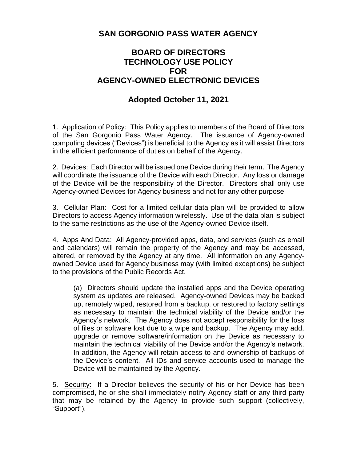## **SAN GORGONIO PASS WATER AGENCY**

## **BOARD OF DIRECTORS TECHNOLOGY USE POLICY FOR AGENCY-OWNED ELECTRONIC DEVICES**

## **Adopted October 11, 2021**

1. Application of Policy: This Policy applies to members of the Board of Directors of the San Gorgonio Pass Water Agency. The issuance of Agency-owned computing devices ("Devices") is beneficial to the Agency as it will assist Directors in the efficient performance of duties on behalf of the Agency.

2. Devices: Each Director will be issued one Device during their term. The Agency will coordinate the issuance of the Device with each Director. Any loss or damage of the Device will be the responsibility of the Director. Directors shall only use Agency-owned Devices for Agency business and not for any other purpose

3. Cellular Plan: Cost for a limited cellular data plan will be provided to allow Directors to access Agency information wirelessly. Use of the data plan is subject to the same restrictions as the use of the Agency-owned Device itself.

4. Apps And Data: All Agency-provided apps, data, and services (such as email and calendars) will remain the property of the Agency and may be accessed, altered, or removed by the Agency at any time. All information on any Agencyowned Device used for Agency business may (with limited exceptions) be subject to the provisions of the Public Records Act.

(a) Directors should update the installed apps and the Device operating system as updates are released. Agency-owned Devices may be backed up, remotely wiped, restored from a backup, or restored to factory settings as necessary to maintain the technical viability of the Device and/or the Agency's network. The Agency does not accept responsibility for the loss of files or software lost due to a wipe and backup. The Agency may add, upgrade or remove software/information on the Device as necessary to maintain the technical viability of the Device and/or the Agency's network. In addition, the Agency will retain access to and ownership of backups of the Device's content. All IDs and service accounts used to manage the Device will be maintained by the Agency.

5. Security: If a Director believes the security of his or her Device has been compromised, he or she shall immediately notify Agency staff or any third party that may be retained by the Agency to provide such support (collectively, "Support").